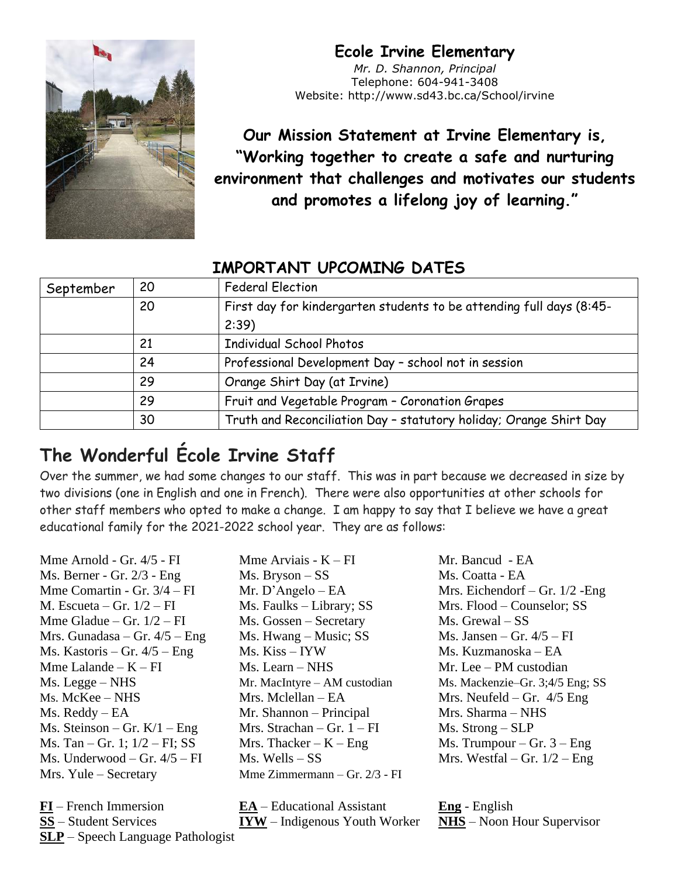#### **Ecole Irvine Elementary**



*Mr. D. Shannon, Principal* Telephone: 604-941-3408 Website: http://www.sd43.bc.ca/School/irvine

**Our Mission Statement at Irvine Elementary is, "Working together to create a safe and nurturing environment that challenges and motivates our students and promotes a lifelong joy of learning."**

#### **IMPORTANT UPCOMING DATES**

| September | 20 | <b>Federal Election</b>                                              |
|-----------|----|----------------------------------------------------------------------|
|           | 20 | First day for kindergarten students to be attending full days (8:45- |
|           |    | 2:39                                                                 |
|           | 21 | <b>Individual School Photos</b>                                      |
|           | 24 | Professional Development Day - school not in session                 |
|           | 29 | Orange Shirt Day (at Irvine)                                         |
|           | 29 | Fruit and Vegetable Program - Coronation Grapes                      |
|           | 30 | Truth and Reconciliation Day - statutory holiday; Orange Shirt Day   |

# **The Wonderful École Irvine Staff**

Over the summer, we had some changes to our staff. This was in part because we decreased in size by two divisions (one in English and one in French). There were also opportunities at other schools for other staff members who opted to make a change. I am happy to say that I believe we have a great educational family for the 2021-2022 school year. They are as follows:

Mme Arnold - Gr.  $4/5$  - FI Mme Arviais - K – FI Mr. Bancud - EA Ms. Berner - Gr. 2/3 - Eng Ms. Bryson – SS Ms. Coatta - EA Mme Comartin - Gr. 3/4 – FI Mr. D'Angelo – EA Mrs. Eichendorf – Gr. 1/2 -Eng M. Escueta – Gr. 1/2 – FI Ms. Faulks – Library; SS Mrs. Flood – Counselor; SS Mme Gladue – Gr.  $1/2$  – FI Ms. Gossen – Secretary Ms. Grewal – SS Mrs. Gunadasa – Gr.  $4/5$  – Eng Ms. Hwang – Music; SS Ms. Jansen – Gr.  $4/5$  – FI Ms. Kastoris – Gr. 4/5 – Eng Ms. Kiss – IYW Ms. Kuzmanoska – EA Mme Lalande –  $K - FI$  Ms. Learn – NHS Mr. Lee – PM custodian Ms. Legge – NHS Mr. MacIntyre – AM custodian Ms. Mackenzie–Gr. 3;4/5 Eng; SS Ms. McKee – NHS Mrs. Mclellan – EA Mrs. Neufeld – Gr. 4/5 Eng Ms. Reddy – EA Mr. Shannon – Principal Mrs. Sharma – NHS Ms. Steinson – Gr.  $K/1$  – Eng Mrs. Strachan – Gr. 1 – FI Ms. Strong – SLP Ms. Tan – Gr. 1;  $1/2$  – FI; SS Mrs. Thacker – K – Eng Ms. Trumpour – Gr. 3 – Eng Ms. Underwood – Gr.  $4/5$  – FI Ms. Wells – SS Mrs. Westfal – Gr.  $1/2$  – Eng Mrs. Yule – Secretary Mme Zimmermann – Gr. 2/3 - FI

**FI** – French Immersion **EA** – Educational Assistant **Eng** - English **SS** – Student Services **IYW** – Indigenous Youth Worker **NHS** – Noon Hour Supervisor **SLP** – Speech Language Pathologist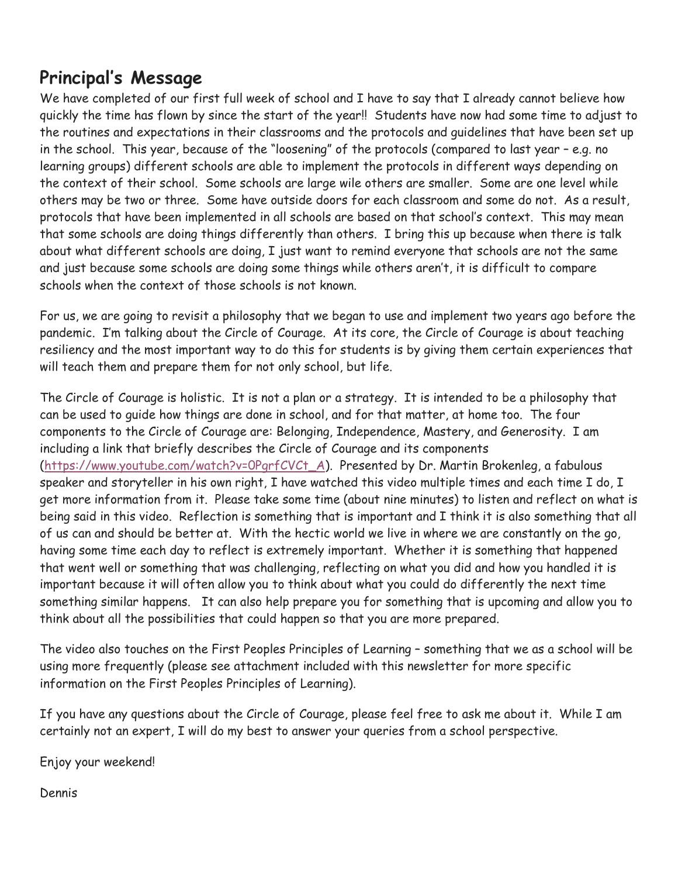#### **Principal's Message**

We have completed of our first full week of school and I have to say that I already cannot believe how quickly the time has flown by since the start of the year!! Students have now had some time to adjust to the routines and expectations in their classrooms and the protocols and guidelines that have been set up in the school. This year, because of the "loosening" of the protocols (compared to last year – e.g. no learning groups) different schools are able to implement the protocols in different ways depending on the context of their school. Some schools are large wile others are smaller. Some are one level while others may be two or three. Some have outside doors for each classroom and some do not. As a result, protocols that have been implemented in all schools are based on that school's context. This may mean that some schools are doing things differently than others. I bring this up because when there is talk about what different schools are doing, I just want to remind everyone that schools are not the same and just because some schools are doing some things while others aren't, it is difficult to compare schools when the context of those schools is not known.

For us, we are going to revisit a philosophy that we began to use and implement two years ago before the pandemic. I'm talking about the Circle of Courage. At its core, the Circle of Courage is about teaching resiliency and the most important way to do this for students is by giving them certain experiences that will teach them and prepare them for not only school, but life.

The Circle of Courage is holistic. It is not a plan or a strategy. It is intended to be a philosophy that can be used to guide how things are done in school, and for that matter, at home too. The four components to the Circle of Courage are: Belonging, Independence, Mastery, and Generosity. I am including a link that briefly describes the Circle of Courage and its components [\(https://www.youtube.com/watch?v=0PgrfCVCt\\_A\)](https://www.youtube.com/watch?v=0PgrfCVCt_A). Presented by Dr. Martin Brokenleg, a fabulous speaker and storyteller in his own right, I have watched this video multiple times and each time I do, I get more information from it. Please take some time (about nine minutes) to listen and reflect on what is being said in this video. Reflection is something that is important and I think it is also something that all of us can and should be better at. With the hectic world we live in where we are constantly on the go, having some time each day to reflect is extremely important. Whether it is something that happened that went well or something that was challenging, reflecting on what you did and how you handled it is important because it will often allow you to think about what you could do differently the next time something similar happens. It can also help prepare you for something that is upcoming and allow you to think about all the possibilities that could happen so that you are more prepared.

The video also touches on the First Peoples Principles of Learning – something that we as a school will be using more frequently (please see attachment included with this newsletter for more specific information on the First Peoples Principles of Learning).

If you have any questions about the Circle of Courage, please feel free to ask me about it. While I am certainly not an expert, I will do my best to answer your queries from a school perspective.

Enjoy your weekend!

Dennis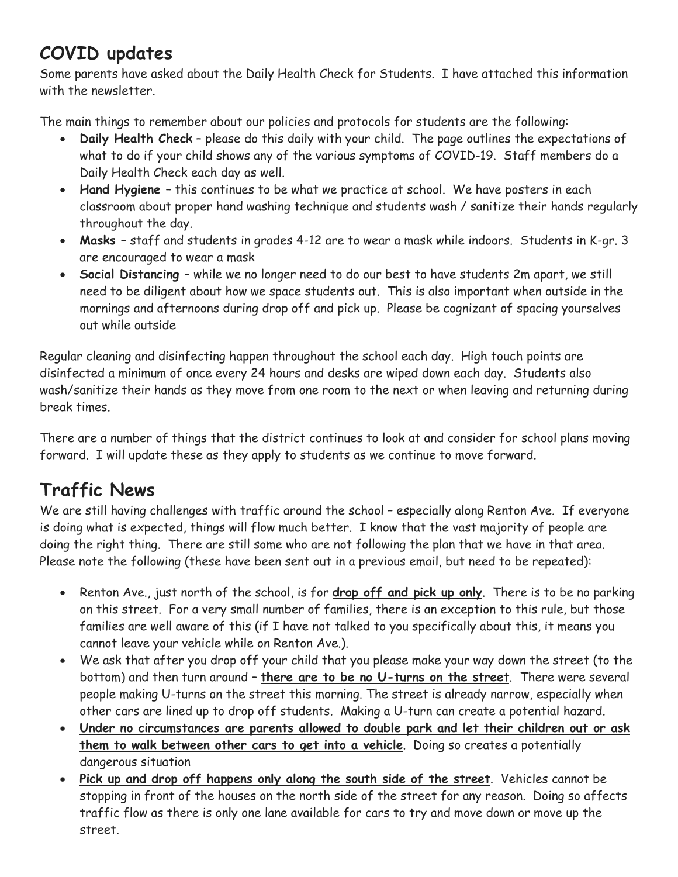## **COVID updates**

Some parents have asked about the Daily Health Check for Students. I have attached this information with the newsletter.

The main things to remember about our policies and protocols for students are the following:

- **Daily Health Check** please do this daily with your child. The page outlines the expectations of what to do if your child shows any of the various symptoms of COVID-19. Staff members do a Daily Health Check each day as well.
- **Hand Hygiene** this continues to be what we practice at school. We have posters in each classroom about proper hand washing technique and students wash / sanitize their hands regularly throughout the day.
- **Masks**  staff and students in grades 4-12 are to wear a mask while indoors. Students in K-gr. 3 are encouraged to wear a mask
- **Social Distancing**  while we no longer need to do our best to have students 2m apart, we still need to be diligent about how we space students out. This is also important when outside in the mornings and afternoons during drop off and pick up. Please be cognizant of spacing yourselves out while outside

Regular cleaning and disinfecting happen throughout the school each day. High touch points are disinfected a minimum of once every 24 hours and desks are wiped down each day. Students also wash/sanitize their hands as they move from one room to the next or when leaving and returning during break times.

There are a number of things that the district continues to look at and consider for school plans moving forward. I will update these as they apply to students as we continue to move forward.

# **Traffic News**

We are still having challenges with traffic around the school - especially along Renton Ave. If everyone is doing what is expected, things will flow much better. I know that the vast majority of people are doing the right thing. There are still some who are not following the plan that we have in that area. Please note the following (these have been sent out in a previous email, but need to be repeated):

- Renton Ave., just north of the school, is for **drop off and pick up only**. There is to be no parking on this street. For a very small number of families, there is an exception to this rule, but those families are well aware of this (if I have not talked to you specifically about this, it means you cannot leave your vehicle while on Renton Ave.).
- We ask that after you drop off your child that you please make your way down the street (to the bottom) and then turn around – **there are to be no U-turns on the street**. There were several people making U-turns on the street this morning. The street is already narrow, especially when other cars are lined up to drop off students. Making a U-turn can create a potential hazard.
- **Under no circumstances are parents allowed to double park and let their children out or ask them to walk between other cars to get into a vehicle**. Doing so creates a potentially dangerous situation
- **Pick up and drop off happens only along the south side of the street**. Vehicles cannot be stopping in front of the houses on the north side of the street for any reason. Doing so affects traffic flow as there is only one lane available for cars to try and move down or move up the street.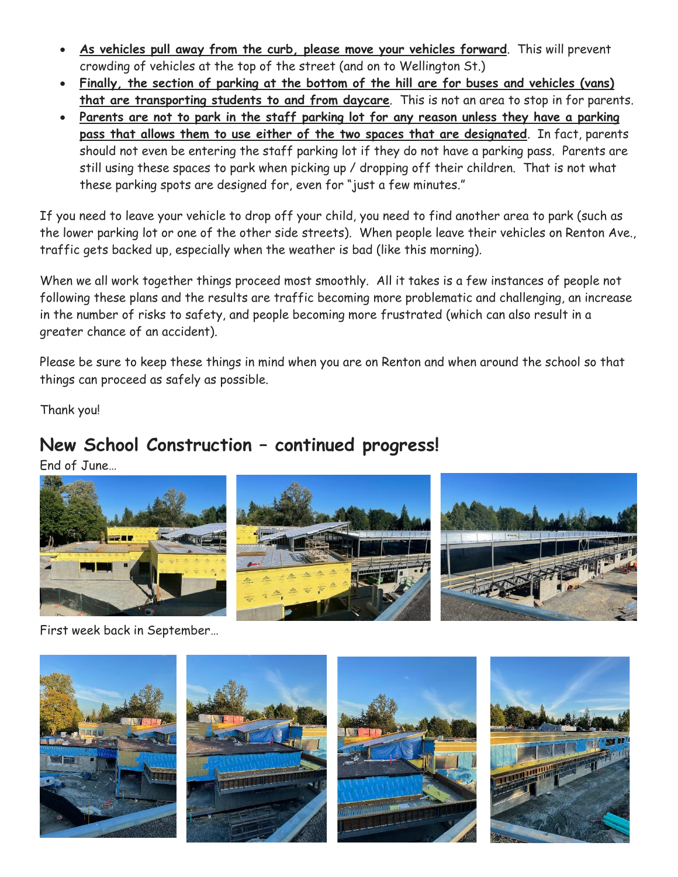- **As vehicles pull away from the curb, please move your vehicles forward**. This will prevent crowding of vehicles at the top of the street (and on to Wellington St.)
- **Finally, the section of parking at the bottom of the hill are for buses and vehicles (vans) that are transporting students to and from daycare**. This is not an area to stop in for parents.
- **Parents are not to park in the staff parking lot for any reason unless they have a parking pass that allows them to use either of the two spaces that are designated**. In fact, parents should not even be entering the staff parking lot if they do not have a parking pass. Parents are still using these spaces to park when picking up / dropping off their children. That is not what these parking spots are designed for, even for "just a few minutes."

If you need to leave your vehicle to drop off your child, you need to find another area to park (such as the lower parking lot or one of the other side streets). When people leave their vehicles on Renton Ave., traffic gets backed up, especially when the weather is bad (like this morning).

When we all work together things proceed most smoothly. All it takes is a few instances of people not following these plans and the results are traffic becoming more problematic and challenging, an increase in the number of risks to safety, and people becoming more frustrated (which can also result in a greater chance of an accident).

Please be sure to keep these things in mind when you are on Renton and when around the school so that things can proceed as safely as possible.

Thank you!

#### **New School Construction – continued progress!**

End of June…



First week back in September…

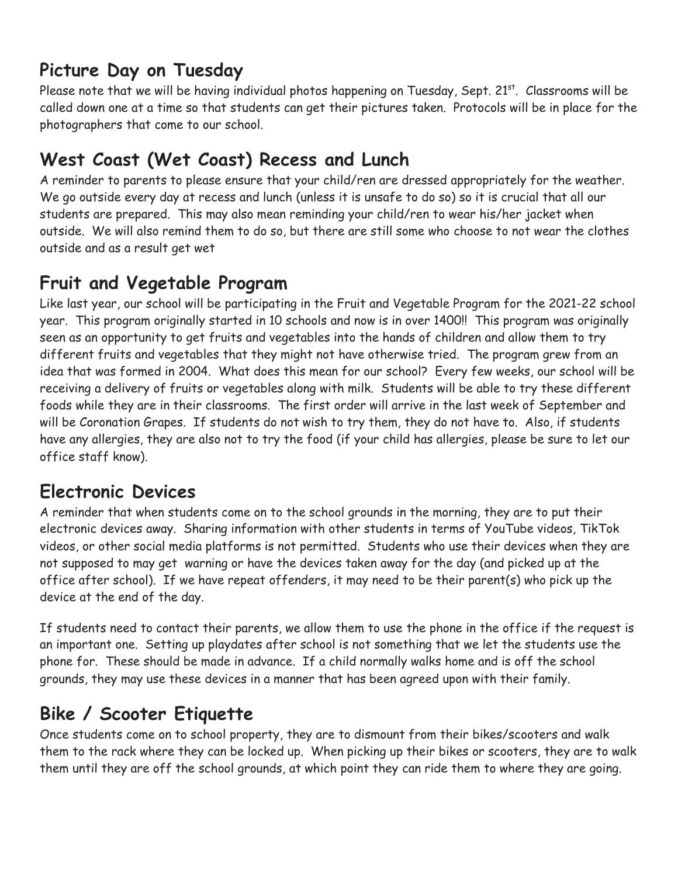## **Picture Day on Tuesday**

Please note that we will be having individual photos happening on Tuesday, Sept. 21st. Classrooms will be called down one at a time so that students can get their pictures taken. Protocols will be in place for the photographers that come to our school.

# **West Coast (Wet Coast) Recess and Lunch**

A reminder to parents to please ensure that your child/ren are dressed appropriately for the weather. We go outside every day at recess and lunch (unless it is unsafe to do so) so it is crucial that all our students are prepared. This may also mean reminding your child/ren to wear his/her jacket when outside. We will also remind them to do so, but there are still some who choose to not wear the clothes outside and as a result get wet

### **Fruit and Vegetable Program**

Like last year, our school will be participating in the Fruit and Vegetable Program for the 2021-22 school year. This program originally started in 10 schools and now is in over 1400!! This program was originally seen as an opportunity to get fruits and vegetables into the hands of children and allow them to try different fruits and vegetables that they might not have otherwise tried. The program grew from an idea that was formed in 2004. What does this mean for our school? Every few weeks, our school will be receiving a delivery of fruits or vegetables along with milk. Students will be able to try these different foods while they are in their classrooms. The first order will arrive in the last week of September and will be Coronation Grapes. If students do not wish to try them, they do not have to. Also, if students have any allergies, they are also not to try the food (if your child has allergies, please be sure to let our office staff know).

### **Electronic Devices**

A reminder that when students come on to the school grounds in the morning, they are to put their electronic devices away. Sharing information with other students in terms of YouTube videos, TikTok videos, or other social media platforms is not permitted. Students who use their devices when they are not supposed to may get warning or have the devices taken away for the day (and picked up at the office after school). If we have repeat offenders, it may need to be their parent(s) who pick up the device at the end of the day.

If students need to contact their parents, we allow them to use the phone in the office if the request is an important one. Setting up playdates after school is not something that we let the students use the phone for. These should be made in advance. If a child normally walks home and is off the school grounds, they may use these devices in a manner that has been agreed upon with their family.

# **Bike / Scooter Etiquette**

Once students come on to school property, they are to dismount from their bikes/scooters and walk them to the rack where they can be locked up. When picking up their bikes or scooters, they are to walk them until they are off the school grounds, at which point they can ride them to where they are going.